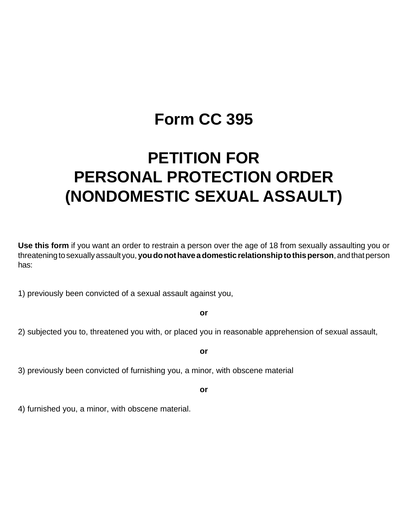# **Form CC 395**

# **PETITION FOR PERSONAL PROTECTION ORDER (NONDOMESTIC SEXUAL ASSAULT)**

**Use this form** if you want an order to restrain a person over the age of 18 from sexually assaulting you or threatening to sexually assault you, **you do not have a domestic relationship to this person**, and that person has:

1) previously been convicted of a sexual assault against you,

**or**

2) subjected you to, threatened you with, or placed you in reasonable apprehension of sexual assault,

**or**

3) previously been convicted of furnishing you, a minor, with obscene material

**or**

4) furnished you, a minor, with obscene material.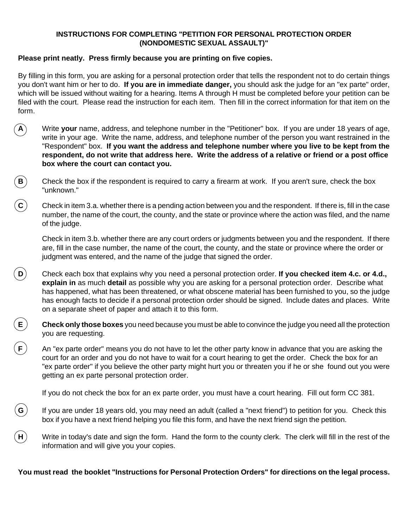#### **INSTRUCTIONS FOR COMPLETING "PETITION FOR PERSONAL PROTECTION ORDER (NONDOMESTIC SEXUAL ASSAULT)"**

### **Please print neatly. Press firmly because you are printing on five copies.**

By filling in this form, you are asking for a personal protection order that tells the respondent not to do certain things you don't want him or her to do. **If you are in immediate danger,** you should ask the judge for an "ex parte" order, which will be issued without waiting for a hearing. Items A through H must be completed before your petition can be filed with the court. Please read the instruction for each item. Then fill in the correct information for that item on the form.

- **A** Write **your** name, address, and telephone number in the "Petitioner" box. If you are under 18 years of age, write in your age. Write the name, address, and telephone number of the person you want restrained in the "Respondent" box. **If you want the address and telephone number where you live to be kept from the respondent, do not write that address here. Write the address of a relative or friend or a post office box where the court can contact you.**
- $\mathbf{B}$  Check the box if the respondent is required to carry a firearm at work. If you aren't sure, check the box "unknown."
- $\zeta$  Check in item 3.a. whether there is a pending action between you and the respondent. If there is, fill in the case number, the name of the court, the county, and the state or province where the action was filed, and the name of the judge.

Check in item 3.b. whether there are any court orders or judgments between you and the respondent. If there are, fill in the case number, the name of the court, the county, and the state or province where the order or judgment was entered, and the name of the judge that signed the order.

- **D** Check each box that explains why you need a personal protection order. **If you checked item 4.c. or 4.d., explain in** as much **detail** as possible why you are asking for a personal protection order. Describe what has happened, what has been threatened, or what obscene material has been furnished to you, so the judge has enough facts to decide if a personal protection order should be signed. Include dates and places. Write on a separate sheet of paper and attach it to this form.
- **E Check only those boxes** you need because you must be able to convince the judge you need all the protection you are requesting.
- $\mathbf{F}$  An "ex parte order" means you do not have to let the other party know in advance that you are asking the court for an order and you do not have to wait for a court hearing to get the order. Check the box for an "ex parte order" if you believe the other party might hurt you or threaten you if he or she found out you were getting an ex parte personal protection order.

If you do not check the box for an ex parte order, you must have a court hearing. Fill out form CC 381.

- If you are under 18 years old, you may need an adult (called a "next friend") to petition for you. Check this box if you have a next friend helping you file this form, and have the next friend sign the petition.
- **H**) Write in today's date and sign the form. Hand the form to the county clerk. The clerk will fill in the rest of the information and will give you your copies.

**You must read the booklet "Instructions for Personal Protection Orders" for directions on the legal process.**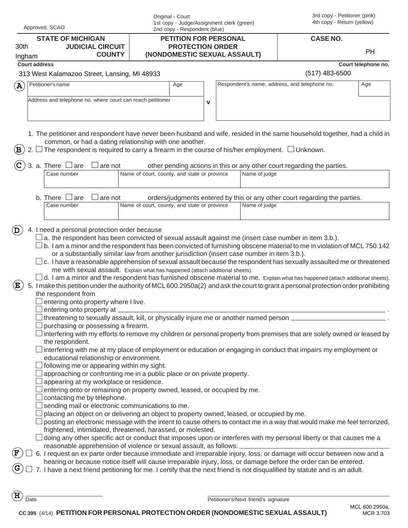| Approved, SCAO                                                                                                                                                                                                                                                                                                                                                                                                                                                                                                                                                                                                                                                                                                                                                                                                                                                                                                                                                                                                                                                                                                                                                                                                                                                                                                                                                                                                                                                                                                                                                                                                                                                                                                                                                                                                                                                                                                                                                                                                                                                                                                                                                                                                                  | Original - Court<br>1st copy - Judge/Assignment clerk (green)<br>2nd copy - Respondent (blue)                                                                                |                                               | 3rd copy - Petitioner (pink)<br>4th copy - Return (yellow)                 |                     |
|---------------------------------------------------------------------------------------------------------------------------------------------------------------------------------------------------------------------------------------------------------------------------------------------------------------------------------------------------------------------------------------------------------------------------------------------------------------------------------------------------------------------------------------------------------------------------------------------------------------------------------------------------------------------------------------------------------------------------------------------------------------------------------------------------------------------------------------------------------------------------------------------------------------------------------------------------------------------------------------------------------------------------------------------------------------------------------------------------------------------------------------------------------------------------------------------------------------------------------------------------------------------------------------------------------------------------------------------------------------------------------------------------------------------------------------------------------------------------------------------------------------------------------------------------------------------------------------------------------------------------------------------------------------------------------------------------------------------------------------------------------------------------------------------------------------------------------------------------------------------------------------------------------------------------------------------------------------------------------------------------------------------------------------------------------------------------------------------------------------------------------------------------------------------------------------------------------------------------------|------------------------------------------------------------------------------------------------------------------------------------------------------------------------------|-----------------------------------------------|----------------------------------------------------------------------------|---------------------|
| <b>STATE OF MICHIGAN</b>                                                                                                                                                                                                                                                                                                                                                                                                                                                                                                                                                                                                                                                                                                                                                                                                                                                                                                                                                                                                                                                                                                                                                                                                                                                                                                                                                                                                                                                                                                                                                                                                                                                                                                                                                                                                                                                                                                                                                                                                                                                                                                                                                                                                        | <b>PETITION FOR PERSONAL</b>                                                                                                                                                 |                                               | <b>CASE NO.</b>                                                            |                     |
| 30th<br><b>JUDICIAL CIRCUIT</b><br><b>COUNTY</b><br>Ingham                                                                                                                                                                                                                                                                                                                                                                                                                                                                                                                                                                                                                                                                                                                                                                                                                                                                                                                                                                                                                                                                                                                                                                                                                                                                                                                                                                                                                                                                                                                                                                                                                                                                                                                                                                                                                                                                                                                                                                                                                                                                                                                                                                      | <b>PROTECTION ORDER</b><br>(NONDOMESTIC SEXUAL ASSAULT)                                                                                                                      |                                               |                                                                            | <b>PH</b>           |
| <b>Court address</b>                                                                                                                                                                                                                                                                                                                                                                                                                                                                                                                                                                                                                                                                                                                                                                                                                                                                                                                                                                                                                                                                                                                                                                                                                                                                                                                                                                                                                                                                                                                                                                                                                                                                                                                                                                                                                                                                                                                                                                                                                                                                                                                                                                                                            |                                                                                                                                                                              |                                               |                                                                            | Court telephone no. |
| 313 West Kalamazoo Street, Lansing, MI 48933                                                                                                                                                                                                                                                                                                                                                                                                                                                                                                                                                                                                                                                                                                                                                                                                                                                                                                                                                                                                                                                                                                                                                                                                                                                                                                                                                                                                                                                                                                                                                                                                                                                                                                                                                                                                                                                                                                                                                                                                                                                                                                                                                                                    |                                                                                                                                                                              |                                               | $(517)$ 483-6500                                                           |                     |
| Petitioner's name<br>$\mathbf{A}$                                                                                                                                                                                                                                                                                                                                                                                                                                                                                                                                                                                                                                                                                                                                                                                                                                                                                                                                                                                                                                                                                                                                                                                                                                                                                                                                                                                                                                                                                                                                                                                                                                                                                                                                                                                                                                                                                                                                                                                                                                                                                                                                                                                               | Age                                                                                                                                                                          | Respondent's name, address, and telephone no. |                                                                            | Age                 |
|                                                                                                                                                                                                                                                                                                                                                                                                                                                                                                                                                                                                                                                                                                                                                                                                                                                                                                                                                                                                                                                                                                                                                                                                                                                                                                                                                                                                                                                                                                                                                                                                                                                                                                                                                                                                                                                                                                                                                                                                                                                                                                                                                                                                                                 |                                                                                                                                                                              |                                               |                                                                            |                     |
| Address and telephone no. where court can reach petitioner                                                                                                                                                                                                                                                                                                                                                                                                                                                                                                                                                                                                                                                                                                                                                                                                                                                                                                                                                                                                                                                                                                                                                                                                                                                                                                                                                                                                                                                                                                                                                                                                                                                                                                                                                                                                                                                                                                                                                                                                                                                                                                                                                                      | $\mathbf v$                                                                                                                                                                  |                                               |                                                                            |                     |
| 1. The petitioner and respondent have never been husband and wife, resided in the same household together, had a child in                                                                                                                                                                                                                                                                                                                                                                                                                                                                                                                                                                                                                                                                                                                                                                                                                                                                                                                                                                                                                                                                                                                                                                                                                                                                                                                                                                                                                                                                                                                                                                                                                                                                                                                                                                                                                                                                                                                                                                                                                                                                                                       |                                                                                                                                                                              |                                               |                                                                            |                     |
| common, or had a dating relationship with one another.<br>The respondent is required to carry a firearm in the course of his/her employment. $\Box$ Unknown.<br>B                                                                                                                                                                                                                                                                                                                                                                                                                                                                                                                                                                                                                                                                                                                                                                                                                                                                                                                                                                                                                                                                                                                                                                                                                                                                                                                                                                                                                                                                                                                                                                                                                                                                                                                                                                                                                                                                                                                                                                                                                                                               |                                                                                                                                                                              |                                               |                                                                            |                     |
| 3. a. There $\,\sqcup$ are<br>are not                                                                                                                                                                                                                                                                                                                                                                                                                                                                                                                                                                                                                                                                                                                                                                                                                                                                                                                                                                                                                                                                                                                                                                                                                                                                                                                                                                                                                                                                                                                                                                                                                                                                                                                                                                                                                                                                                                                                                                                                                                                                                                                                                                                           |                                                                                                                                                                              |                                               | other pending actions in this or any other court regarding the parties.    |                     |
| Case number                                                                                                                                                                                                                                                                                                                                                                                                                                                                                                                                                                                                                                                                                                                                                                                                                                                                                                                                                                                                                                                                                                                                                                                                                                                                                                                                                                                                                                                                                                                                                                                                                                                                                                                                                                                                                                                                                                                                                                                                                                                                                                                                                                                                                     | Name of court, county, and state or province                                                                                                                                 | Name of judge                                 |                                                                            |                     |
|                                                                                                                                                                                                                                                                                                                                                                                                                                                                                                                                                                                                                                                                                                                                                                                                                                                                                                                                                                                                                                                                                                                                                                                                                                                                                                                                                                                                                                                                                                                                                                                                                                                                                                                                                                                                                                                                                                                                                                                                                                                                                                                                                                                                                                 |                                                                                                                                                                              |                                               |                                                                            |                     |
| b. There $\Box$ are<br>are not                                                                                                                                                                                                                                                                                                                                                                                                                                                                                                                                                                                                                                                                                                                                                                                                                                                                                                                                                                                                                                                                                                                                                                                                                                                                                                                                                                                                                                                                                                                                                                                                                                                                                                                                                                                                                                                                                                                                                                                                                                                                                                                                                                                                  |                                                                                                                                                                              |                                               | orders/judgments entered by this or any other court regarding the parties. |                     |
| Case number                                                                                                                                                                                                                                                                                                                                                                                                                                                                                                                                                                                                                                                                                                                                                                                                                                                                                                                                                                                                                                                                                                                                                                                                                                                                                                                                                                                                                                                                                                                                                                                                                                                                                                                                                                                                                                                                                                                                                                                                                                                                                                                                                                                                                     | Name of court, county, and state or province                                                                                                                                 | Name of judge                                 |                                                                            |                     |
|                                                                                                                                                                                                                                                                                                                                                                                                                                                                                                                                                                                                                                                                                                                                                                                                                                                                                                                                                                                                                                                                                                                                                                                                                                                                                                                                                                                                                                                                                                                                                                                                                                                                                                                                                                                                                                                                                                                                                                                                                                                                                                                                                                                                                                 |                                                                                                                                                                              |                                               |                                                                            |                     |
| $\Box$ c. I have a reasonable apprehension of sexual assault because the respondent has sexually assaulted me or threatened<br>$\Box$ d. I am a minor and the respondent has furnished obscene material to me. Explain what has happened (attach additional sheets).<br>$\left( \mathbf{E}\right)$<br>5. I make this petition under the authority of MCL 600.2950a(2) and ask the court to grant a personal protection order prohibiting<br>the respondent from<br>entering onto property where I live.<br>$\square$ entering onto property at $\_$<br>threatening to sexually assault, kill, or physically injure me or another named person $\equiv$<br>purchasing or possessing a firearm.<br>interfering with my efforts to remove my children or personal property from premises that are solely owned or leased by<br>the respondent.<br>interfering with me at my place of employment or education or engaging in conduct that impairs my employment or<br>educational relationship or environment.<br>following me or appearing within my sight.<br>approaching or confronting me in a public place or on private property.<br>appearing at my workplace or residence.<br>entering onto or remaining on property owned, leased, or occupied by me.<br>contacting me by telephone.<br>sending mail or electronic communications to me.<br>placing an object on or delivering an object to property owned, leased, or occupied by me.<br>posting an electronic message with the intent to cause others to contact me in a way that would make me feel terrorized,<br>frightened, intimidated, threatened, harassed, or molested.<br>doing any other specific act or conduct that imposes upon or interferes with my personal liberty or that causes me a<br>reasonable apprehension of violence or sexual assault, as follows:<br>$\bf F$<br>6. I request an ex parte order because immediate and irreparable injury, loss, or damage will occur between now and a<br>hearing or because notice itself will cause irreparable injury, loss, or damage before the order can be entered.<br>G<br>7. I have a next friend petitioning for me. I certify that the next friend is not disqualified by statute and is an adult. | or a substantially similar law from another jurisdiction (insert case number in item 3.b.).<br>me with sexual assault. Explain what has happened (attach additional sheets). |                                               |                                                                            |                     |
| н<br>Date                                                                                                                                                                                                                                                                                                                                                                                                                                                                                                                                                                                                                                                                                                                                                                                                                                                                                                                                                                                                                                                                                                                                                                                                                                                                                                                                                                                                                                                                                                                                                                                                                                                                                                                                                                                                                                                                                                                                                                                                                                                                                                                                                                                                                       |                                                                                                                                                                              | Petitioner's/Next friend's signature          |                                                                            |                     |